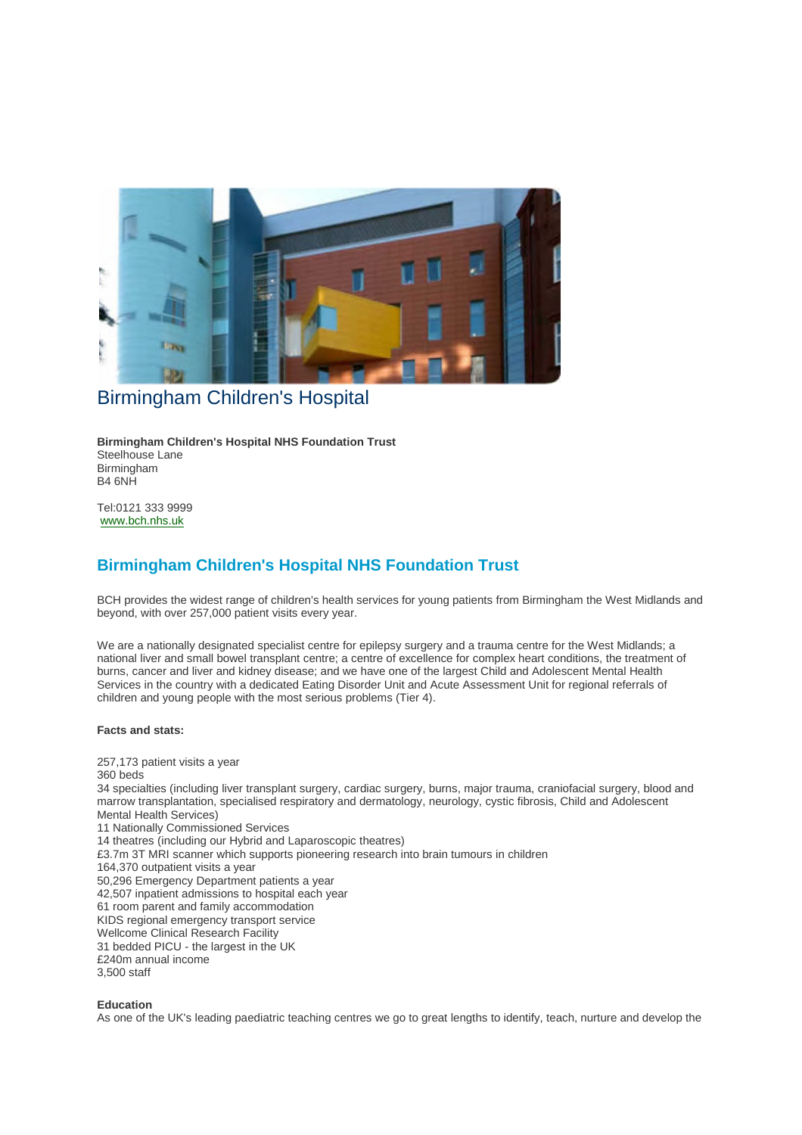

# Birmingham Children's Hospital

**Birmingham Children's Hospital NHS Foundation Trust** Steelhouse Lane Birmingham B4 6NH

Tel:0121 333 9999 www.bch.nhs.uk

## **Birmingham Children's Hospital NHS Foundation Trust**

BCH provides the widest range of children's health services for young patients from Birmingham the West Midlands and beyond, with over 257,000 patient visits every year.

We are a nationally designated specialist centre for epilepsy surgery and a trauma centre for the West Midlands; a national liver and small bowel transplant centre; a centre of excellence for complex heart conditions, the treatment of burns, cancer and liver and kidney disease; and we have one of the largest Child and Adolescent Mental Health Services in the country with a dedicated Eating Disorder Unit and Acute Assessment Unit for regional referrals of children and young people with the most serious problems (Tier 4).

#### **Facts and stats:**

257,173 patient visits a year 360 beds 34 specialties (including liver transplant surgery, cardiac surgery, burns, major trauma, craniofacial surgery, blood and marrow transplantation, specialised respiratory and dermatology, neurology, cystic fibrosis, Child and Adolescent Mental Health Services) 11 Nationally Commissioned Services 14 theatres (including our Hybrid and Laparoscopic theatres) £3.7m 3T MRI scanner which supports pioneering research into brain tumours in children 164,370 outpatient visits a year 50,296 Emergency Department patients a year 42,507 inpatient admissions to hospital each year 61 room parent and family accommodation KIDS regional emergency transport service Wellcome Clinical Research Facility 31 bedded PICU - the largest in the UK £240m annual income 3,500 staff

**Education**

As one of the UK's leading paediatric teaching centres we go to great lengths to identify, teach, nurture and develop the